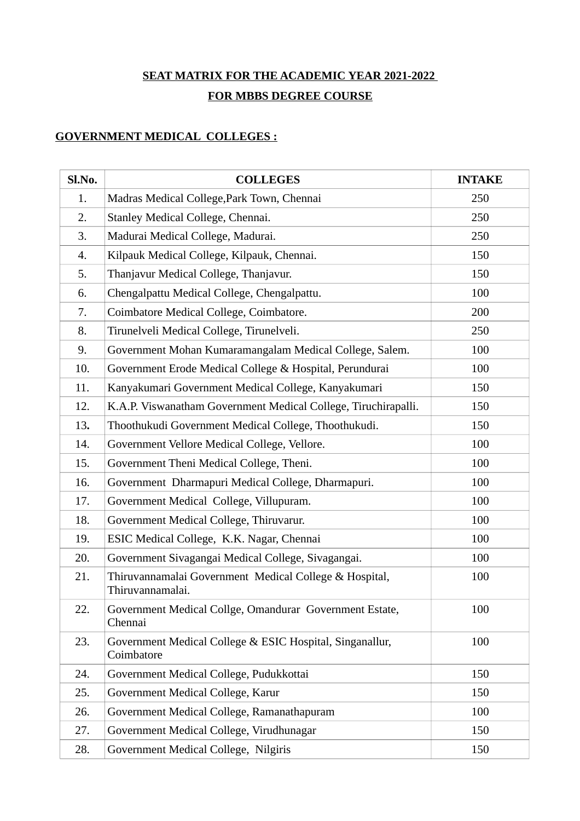## **SEAT MATRIX FOR THE ACADEMIC YEAR 2021-2022 FOR MBBS DEGREE COURSE**

## **GOVERNMENT MEDICAL COLLEGES :**

| Sl.No. | <b>COLLEGES</b>                                                            | <b>INTAKE</b> |
|--------|----------------------------------------------------------------------------|---------------|
| 1.     | Madras Medical College, Park Town, Chennai                                 | 250           |
| 2.     | Stanley Medical College, Chennai.                                          | 250           |
| 3.     | Madurai Medical College, Madurai.                                          | 250           |
| 4.     | Kilpauk Medical College, Kilpauk, Chennai.                                 | 150           |
| 5.     | Thanjavur Medical College, Thanjavur.                                      | 150           |
| 6.     | Chengalpattu Medical College, Chengalpattu.                                | 100           |
| 7.     | Coimbatore Medical College, Coimbatore.                                    | 200           |
| 8.     | Tirunelveli Medical College, Tirunelveli.                                  | 250           |
| 9.     | Government Mohan Kumaramangalam Medical College, Salem.                    | 100           |
| 10.    | Government Erode Medical College & Hospital, Perundurai                    | 100           |
| 11.    | Kanyakumari Government Medical College, Kanyakumari                        | 150           |
| 12.    | K.A.P. Viswanatham Government Medical College, Tiruchirapalli.             | 150           |
| 13.    | Thoothukudi Government Medical College, Thoothukudi.                       | 150           |
| 14.    | Government Vellore Medical College, Vellore.                               | 100           |
| 15.    | Government Theni Medical College, Theni.                                   | 100           |
| 16.    | Government Dharmapuri Medical College, Dharmapuri.                         | 100           |
| 17.    | Government Medical College, Villupuram.                                    | 100           |
| 18.    | Government Medical College, Thiruvarur.                                    | 100           |
| 19.    | ESIC Medical College, K.K. Nagar, Chennai                                  | 100           |
| 20.    | Government Sivagangai Medical College, Sivagangai.                         | 100           |
| 21.    | Thiruvannamalai Government Medical College & Hospital,<br>Thiruvannamalai. | 100           |
| 22.    | Government Medical Collge, Omandurar Government Estate,<br>Chennai         | 100           |
| 23.    | Government Medical College & ESIC Hospital, Singanallur,<br>Coimbatore     | 100           |
| 24.    | Government Medical College, Pudukkottai                                    | 150           |
| 25.    | Government Medical College, Karur                                          | 150           |
| 26.    | Government Medical College, Ramanathapuram                                 | 100           |
| 27.    | Government Medical College, Virudhunagar                                   | 150           |
| 28.    | Government Medical College, Nilgiris                                       | 150           |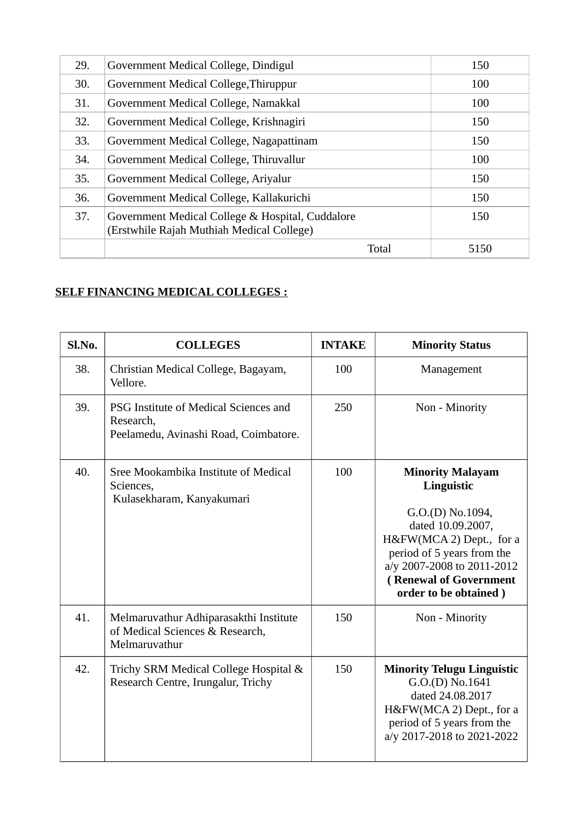| 29. | Government Medical College, Dindigul                                                          | 150  |
|-----|-----------------------------------------------------------------------------------------------|------|
| 30. | Government Medical College, Thiruppur                                                         | 100  |
| 31. | Government Medical College, Namakkal                                                          | 100  |
| 32. | Government Medical College, Krishnagiri                                                       | 150  |
| 33. | Government Medical College, Nagapattinam                                                      | 150  |
| 34. | Government Medical College, Thiruvallur                                                       | 100  |
| 35. | Government Medical College, Ariyalur                                                          | 150  |
| 36. | Government Medical College, Kallakurichi                                                      | 150  |
| 37. | Government Medical College & Hospital, Cuddalore<br>(Erstwhile Rajah Muthiah Medical College) | 150  |
|     | <b>Total</b>                                                                                  | 5150 |

## **SELF FINANCING MEDICAL COLLEGES :**

| Sl.No. | <b>COLLEGES</b>                                                                             | <b>INTAKE</b> | <b>Minority Status</b>                                                                                                                                                                                                    |
|--------|---------------------------------------------------------------------------------------------|---------------|---------------------------------------------------------------------------------------------------------------------------------------------------------------------------------------------------------------------------|
| 38.    | Christian Medical College, Bagayam,<br>Vellore.                                             | 100           | Management                                                                                                                                                                                                                |
| 39.    | PSG Institute of Medical Sciences and<br>Research,<br>Peelamedu, Avinashi Road, Coimbatore. | 250           | Non - Minority                                                                                                                                                                                                            |
| 40.    | Sree Mookambika Institute of Medical<br>Sciences,<br>Kulasekharam, Kanyakumari              | 100           | <b>Minority Malayam</b><br>Linguistic<br>G.O.(D) No.1094,<br>dated 10.09.2007,<br>H&FW(MCA 2) Dept., for a<br>period of 5 years from the<br>a/y 2007-2008 to 2011-2012<br>(Renewal of Government<br>order to be obtained) |
| 41.    | Melmaruvathur Adhiparasakthi Institute<br>of Medical Sciences & Research,<br>Melmaruvathur  | 150           | Non - Minority                                                                                                                                                                                                            |
| 42.    | Trichy SRM Medical College Hospital &<br>Research Centre, Irungalur, Trichy                 | 150           | <b>Minority Telugu Linguistic</b><br>G.O.(D) No.1641<br>dated 24.08.2017<br>H&FW(MCA 2) Dept., for a<br>period of 5 years from the<br>a/y 2017-2018 to 2021-2022                                                          |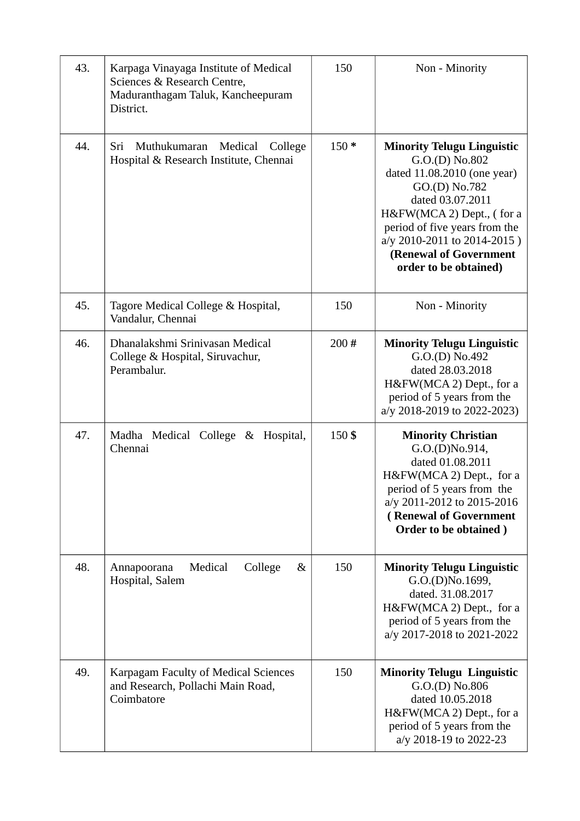| 43. | Karpaga Vinayaga Institute of Medical<br>Sciences & Research Centre,<br>Maduranthagam Taluk, Kancheepuram<br>District. | 150    | Non - Minority                                                                                                                                                                                                                                                          |
|-----|------------------------------------------------------------------------------------------------------------------------|--------|-------------------------------------------------------------------------------------------------------------------------------------------------------------------------------------------------------------------------------------------------------------------------|
| 44. | Sri<br>Muthukumaran<br>Medical<br>College<br>Hospital & Research Institute, Chennai                                    | $150*$ | <b>Minority Telugu Linguistic</b><br>G.O.(D) No.802<br>dated 11.08.2010 (one year)<br>GO.(D) No.782<br>dated 03.07.2011<br>H&FW(MCA 2) Dept., (for a<br>period of five years from the<br>a/y 2010-2011 to 2014-2015)<br>(Renewal of Government<br>order to be obtained) |
| 45. | Tagore Medical College & Hospital,<br>Vandalur, Chennai                                                                | 150    | Non - Minority                                                                                                                                                                                                                                                          |
| 46. | Dhanalakshmi Sriniyasan Medical<br>College & Hospital, Siruvachur,<br>Perambalur.                                      | 200#   | <b>Minority Telugu Linguistic</b><br>G.O.(D) No.492<br>dated 28.03.2018<br>H&FW(MCA 2) Dept., for a<br>period of 5 years from the<br>a/y 2018-2019 to 2022-2023)                                                                                                        |
| 47. | Madha Medical College & Hospital,<br>Chennai                                                                           | 150\$  | <b>Minority Christian</b><br>G.O.(D)No.914,<br>dated 01.08.2011<br>H&FW(MCA 2) Dept., for a<br>period of 5 years from the<br>a/y 2011-2012 to 2015-2016<br>(Renewal of Government<br>Order to be obtained)                                                              |
| 48. | Medical<br>College<br>$\&$<br>Annapoorana<br>Hospital, Salem                                                           | 150    | <b>Minority Telugu Linguistic</b><br>G.O.(D)No.1699,<br>dated. 31.08.2017<br>H&FW(MCA 2) Dept., for a<br>period of 5 years from the<br>a/y 2017-2018 to 2021-2022                                                                                                       |
| 49. | Karpagam Faculty of Medical Sciences<br>and Research, Pollachi Main Road,<br>Coimbatore                                | 150    | <b>Minority Telugu Linguistic</b><br>$G.O.(D)$ No.806<br>dated 10.05.2018<br>H&FW(MCA 2) Dept., for a<br>period of 5 years from the<br>a/y 2018-19 to 2022-23                                                                                                           |